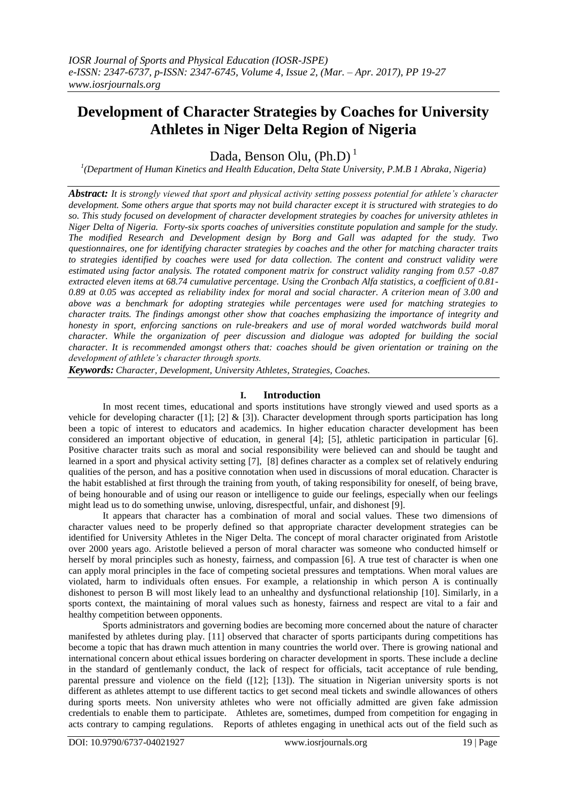# **Development of Character Strategies by Coaches for University Athletes in Niger Delta Region of Nigeria**

Dada, Benson Olu, (Ph.D)<sup>1</sup>

*1 (Department of Human Kinetics and Health Education, Delta State University, P.M.B 1 Abraka, Nigeria)*

*Abstract: It is strongly viewed that sport and physical activity setting possess potential for athlete's character development. Some others argue that sports may not build character except it is structured with strategies to do so. This study focused on development of character development strategies by coaches for university athletes in Niger Delta of Nigeria. Forty-six sports coaches of universities constitute population and sample for the study. The modified Research and Development design by Borg and Gall was adapted for the study. Two questionnaires, one for identifying character strategies by coaches and the other for matching character traits to strategies identified by coaches were used for data collection. The content and construct validity were estimated using factor analysis. The rotated component matrix for construct validity ranging from 0.57 -0.87 extracted eleven items at 68.74 cumulative percentage. Using the Cronbach Alfa statistics, a coefficient of 0.81- 0.89 at 0.05 was accepted as reliability index for moral and social character. A criterion mean of 3.00 and above was a benchmark for adopting strategies while percentages were used for matching strategies to character traits. The findings amongst other show that coaches emphasizing the importance of integrity and honesty in sport, enforcing sanctions on rule-breakers and use of moral worded watchwords build moral character. While the organization of peer discussion and dialogue was adopted for building the social character. It is recommended amongst others that: coaches should be given orientation or training on the development of athlete's character through sports.*

*Keywords: Character, Development, University Athletes, Strategies, Coaches.*

# **I. Introduction**

In most recent times, educational and sports institutions have strongly viewed and used sports as a vehicle for developing character ([1]; [2] & [3]). Character development through sports participation has long been a topic of interest to educators and academics. In higher education character development has been considered an important objective of education, in general [4]; [5], athletic participation in particular [6]. Positive character traits such as moral and social responsibility were believed can and should be taught and learned in a sport and physical activity setting [7], [8] defines character as a complex set of relatively enduring qualities of the person, and has a positive connotation when used in discussions of moral education. Character is the habit established at first through the training from youth, of taking responsibility for oneself, of being brave, of being honourable and of using our reason or intelligence to guide our feelings, especially when our feelings might lead us to do something unwise, unloving, disrespectful, unfair, and dishonest [9].

It appears that character has a combination of moral and social values. These two dimensions of character values need to be properly defined so that appropriate character development strategies can be identified for University Athletes in the Niger Delta. The concept of moral character originated from Aristotle over 2000 years ago. Aristotle believed a person of moral character was someone who conducted himself or herself by moral principles such as honesty, fairness, and compassion [6]. A true test of character is when one can apply moral principles in the face of competing societal pressures and temptations. When moral values are violated, harm to individuals often ensues. For example, a relationship in which person A is continually dishonest to person B will most likely lead to an unhealthy and dysfunctional relationship [10]. Similarly, in a sports context, the maintaining of moral values such as honesty, fairness and respect are vital to a fair and healthy competition between opponents.

Sports administrators and governing bodies are becoming more concerned about the nature of character manifested by athletes during play. [11] observed that character of sports participants during competitions has become a topic that has drawn much attention in many countries the world over. There is growing national and international concern about ethical issues bordering on character development in sports. These include a decline in the standard of gentlemanly conduct, the lack of respect for officials, tacit acceptance of rule bending, parental pressure and violence on the field ([12]; [13]). The situation in Nigerian university sports is not different as athletes attempt to use different tactics to get second meal tickets and swindle allowances of others during sports meets. Non university athletes who were not officially admitted are given fake admission credentials to enable them to participate. Athletes are, sometimes, dumped from competition for engaging in acts contrary to camping regulations. Reports of athletes engaging in unethical acts out of the field such as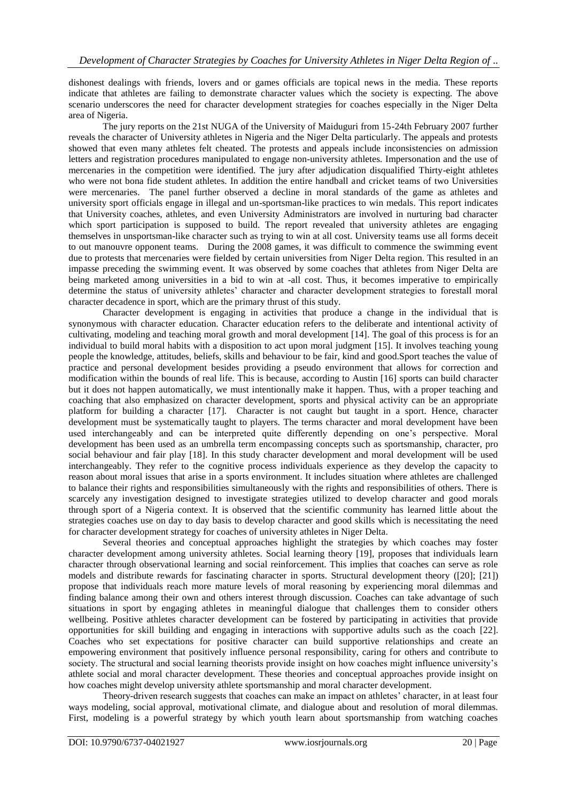dishonest dealings with friends, lovers and or games officials are topical news in the media. These reports indicate that athletes are failing to demonstrate character values which the society is expecting. The above scenario underscores the need for character development strategies for coaches especially in the Niger Delta area of Nigeria.

The jury reports on the 21st NUGA of the University of Maiduguri from 15-24th February 2007 further reveals the character of University athletes in Nigeria and the Niger Delta particularly. The appeals and protests showed that even many athletes felt cheated. The protests and appeals include inconsistencies on admission letters and registration procedures manipulated to engage non-university athletes. Impersonation and the use of mercenaries in the competition were identified. The jury after adjudication disqualified Thirty-eight athletes who were not bona fide student athletes. In addition the entire handball and cricket teams of two Universities were mercenaries. The panel further observed a decline in moral standards of the game as athletes and university sport officials engage in illegal and un-sportsman-like practices to win medals. This report indicates that University coaches, athletes, and even University Administrators are involved in nurturing bad character which sport participation is supposed to build. The report revealed that university athletes are engaging themselves in unsportsman-like character such as trying to win at all cost. University teams use all forms deceit to out manouvre opponent teams. During the 2008 games, it was difficult to commence the swimming event due to protests that mercenaries were fielded by certain universities from Niger Delta region. This resulted in an impasse preceding the swimming event. It was observed by some coaches that athletes from Niger Delta are being marketed among universities in a bid to win at -all cost. Thus, it becomes imperative to empirically determine the status of university athletes' character and character development strategies to forestall moral character decadence in sport, which are the primary thrust of this study.

Character development is engaging in activities that produce a change in the individual that is synonymous with character education. Character education refers to the deliberate and intentional activity of cultivating, modeling and teaching moral growth and moral development [14]. The goal of this process is for an individual to build moral habits with a disposition to act upon moral judgment [15]. It involves teaching young people the knowledge, attitudes, beliefs, skills and behaviour to be fair, kind and good.Sport teaches the value of practice and personal development besides providing a pseudo environment that allows for correction and modification within the bounds of real life. This is because, according to Austin [16] sports can build character but it does not happen automatically, we must intentionally make it happen. Thus, with a proper teaching and coaching that also emphasized on character development, sports and physical activity can be an appropriate platform for building a character [17]. Character is not caught but taught in a sport. Hence, character development must be systematically taught to players. The terms character and moral development have been used interchangeably and can be interpreted quite differently depending on one's perspective. Moral development has been used as an umbrella term encompassing concepts such as sportsmanship, character, pro social behaviour and fair play [18]. In this study character development and moral development will be used interchangeably. They refer to the cognitive process individuals experience as they develop the capacity to reason about moral issues that arise in a sports environment. It includes situation where athletes are challenged to balance their rights and responsibilities simultaneously with the rights and responsibilities of others. There is scarcely any investigation designed to investigate strategies utilized to develop character and good morals through sport of a Nigeria context. It is observed that the scientific community has learned little about the strategies coaches use on day to day basis to develop character and good skills which is necessitating the need for character development strategy for coaches of university athletes in Niger Delta.

Several theories and conceptual approaches highlight the strategies by which coaches may foster character development among university athletes. Social learning theory [19], proposes that individuals learn character through observational learning and social reinforcement. This implies that coaches can serve as role models and distribute rewards for fascinating character in sports. Structural development theory ([20]; [21]) propose that individuals reach more mature levels of moral reasoning by experiencing moral dilemmas and finding balance among their own and others interest through discussion. Coaches can take advantage of such situations in sport by engaging athletes in meaningful dialogue that challenges them to consider others wellbeing. Positive athletes character development can be fostered by participating in activities that provide opportunities for skill building and engaging in interactions with supportive adults such as the coach [22]. Coaches who set expectations for positive character can build supportive relationships and create an empowering environment that positively influence personal responsibility, caring for others and contribute to society. The structural and social learning theorists provide insight on how coaches might influence university's athlete social and moral character development. These theories and conceptual approaches provide insight on how coaches might develop university athlete sportsmanship and moral character development.

Theory-driven research suggests that coaches can make an impact on athletes' character, in at least four ways modeling, social approval, motivational climate, and dialogue about and resolution of moral dilemmas. First, modeling is a powerful strategy by which youth learn about sportsmanship from watching coaches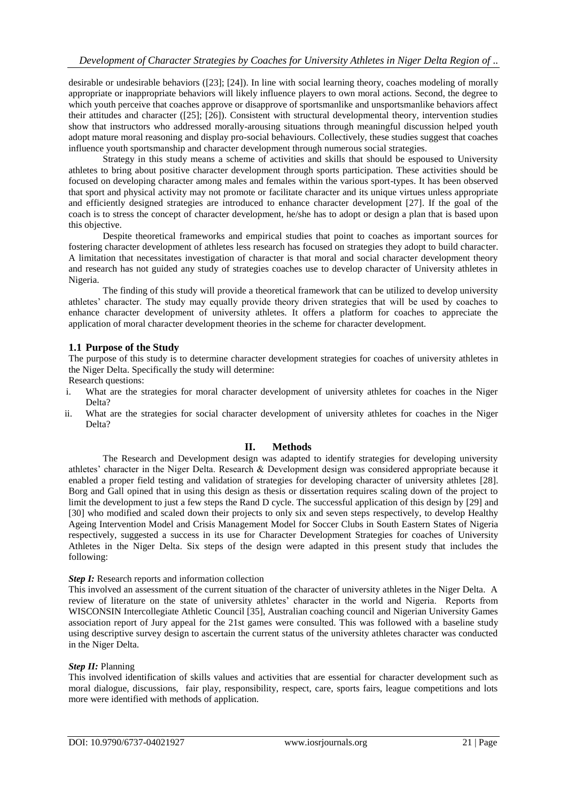desirable or undesirable behaviors ([23]; [24]). In line with social learning theory, coaches modeling of morally appropriate or inappropriate behaviors will likely influence players to own moral actions. Second, the degree to which youth perceive that coaches approve or disapprove of sportsmanlike and unsportsmanlike behaviors affect their attitudes and character ([25]; [26]). Consistent with structural developmental theory, intervention studies show that instructors who addressed morally-arousing situations through meaningful discussion helped youth adopt mature moral reasoning and display pro-social behaviours. Collectively, these studies suggest that coaches influence youth sportsmanship and character development through numerous social strategies.

Strategy in this study means a scheme of activities and skills that should be espoused to University athletes to bring about positive character development through sports participation. These activities should be focused on developing character among males and females within the various sport-types. It has been observed that sport and physical activity may not promote or facilitate character and its unique virtues unless appropriate and efficiently designed strategies are introduced to enhance character development [27]. If the goal of the coach is to stress the concept of character development, he/she has to adopt or design a plan that is based upon this objective.

Despite theoretical frameworks and empirical studies that point to coaches as important sources for fostering character development of athletes less research has focused on strategies they adopt to build character. A limitation that necessitates investigation of character is that moral and social character development theory and research has not guided any study of strategies coaches use to develop character of University athletes in Nigeria.

The finding of this study will provide a theoretical framework that can be utilized to develop university athletes' character. The study may equally provide theory driven strategies that will be used by coaches to enhance character development of university athletes. It offers a platform for coaches to appreciate the application of moral character development theories in the scheme for character development.

# **1.1 Purpose of the Study**

The purpose of this study is to determine character development strategies for coaches of university athletes in the Niger Delta. Specifically the study will determine:

Research questions:

- i. What are the strategies for moral character development of university athletes for coaches in the Niger Delta?
- ii. What are the strategies for social character development of university athletes for coaches in the Niger Delta?

# **II. Methods**

The Research and Development design was adapted to identify strategies for developing university athletes' character in the Niger Delta. Research & Development design was considered appropriate because it enabled a proper field testing and validation of strategies for developing character of university athletes [28]. Borg and Gall opined that in using this design as thesis or dissertation requires scaling down of the project to limit the development to just a few steps the Rand D cycle. The successful application of this design by [29] and [30] who modified and scaled down their projects to only six and seven steps respectively, to develop Healthy Ageing Intervention Model and Crisis Management Model for Soccer Clubs in South Eastern States of Nigeria respectively, suggested a success in its use for Character Development Strategies for coaches of University Athletes in the Niger Delta. Six steps of the design were adapted in this present study that includes the following:

# *Step I:* Research reports and information collection

This involved an assessment of the current situation of the character of university athletes in the Niger Delta. A review of literature on the state of university athletes' character in the world and Nigeria. Reports from WISCONSIN Intercollegiate Athletic Council [35], Australian coaching council and Nigerian University Games association report of Jury appeal for the 21st games were consulted. This was followed with a baseline study using descriptive survey design to ascertain the current status of the university athletes character was conducted in the Niger Delta.

# *Step II:* Planning

This involved identification of skills values and activities that are essential for character development such as moral dialogue, discussions, fair play, responsibility, respect, care, sports fairs, league competitions and lots more were identified with methods of application.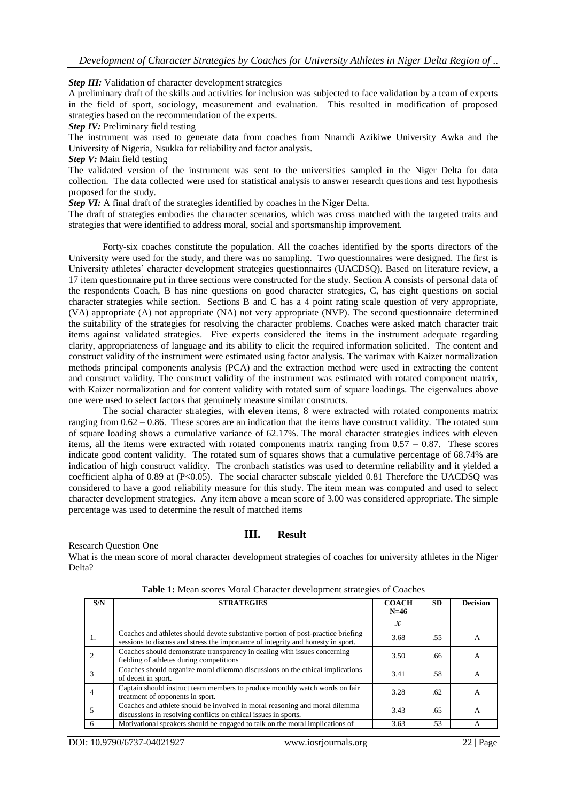*Step III:* Validation of character development strategies

A preliminary draft of the skills and activities for inclusion was subjected to face validation by a team of experts in the field of sport, sociology, measurement and evaluation. This resulted in modification of proposed strategies based on the recommendation of the experts.

**Step IV:** Preliminary field testing

The instrument was used to generate data from coaches from Nnamdi Azikiwe University Awka and the University of Nigeria, Nsukka for reliability and factor analysis.

*Step V:* Main field testing

The validated version of the instrument was sent to the universities sampled in the Niger Delta for data collection. The data collected were used for statistical analysis to answer research questions and test hypothesis proposed for the study.

*Step VI:* A final draft of the strategies identified by coaches in the Niger Delta.

The draft of strategies embodies the character scenarios, which was cross matched with the targeted traits and strategies that were identified to address moral, social and sportsmanship improvement.

Forty-six coaches constitute the population. All the coaches identified by the sports directors of the University were used for the study, and there was no sampling. Two questionnaires were designed. The first is University athletes' character development strategies questionnaires (UACDSQ). Based on literature review, a 17 item questionnaire put in three sections were constructed for the study. Section A consists of personal data of the respondents Coach, B has nine questions on good character strategies, C, has eight questions on social character strategies while section. Sections B and C has a 4 point rating scale question of very appropriate, (VA) appropriate (A) not appropriate (NA) not very appropriate (NVP). The second questionnaire determined the suitability of the strategies for resolving the character problems. Coaches were asked match character trait items against validated strategies. Five experts considered the items in the instrument adequate regarding clarity, appropriateness of language and its ability to elicit the required information solicited. The content and construct validity of the instrument were estimated using factor analysis. The varimax with Kaizer normalization methods principal components analysis (PCA) and the extraction method were used in extracting the content and construct validity. The construct validity of the instrument was estimated with rotated component matrix, with Kaizer normalization and for content validity with rotated sum of square loadings. The eigenvalues above one were used to select factors that genuinely measure similar constructs.

The social character strategies, with eleven items, 8 were extracted with rotated components matrix ranging from 0.62 – 0.86. These scores are an indication that the items have construct validity. The rotated sum of square loading shows a cumulative variance of 62.17%. The moral character strategies indices with eleven items, all the items were extracted with rotated components matrix ranging from  $0.57 - 0.87$ . These scores indicate good content validity. The rotated sum of squares shows that a cumulative percentage of 68.74% are indication of high construct validity. The cronbach statistics was used to determine reliability and it yielded a coefficient alpha of 0.89 at (P<0.05). The social character subscale yielded 0.81 Therefore the UACDSQ was considered to have a good reliability measure for this study. The item mean was computed and used to select character development strategies. Any item above a mean score of 3.00 was considered appropriate. The simple percentage was used to determine the result of matched items

# **III. Result**

Research Question One

What is the mean score of moral character development strategies of coaches for university athletes in the Niger Delta?

| S/N | <b>STRATEGIES</b>                                                                                                                                                    | <b>COACH</b>             | <b>SD</b> | <b>Decision</b> |
|-----|----------------------------------------------------------------------------------------------------------------------------------------------------------------------|--------------------------|-----------|-----------------|
|     |                                                                                                                                                                      | $N=46$<br>$\overline{x}$ |           |                 |
|     |                                                                                                                                                                      |                          |           |                 |
|     | Coaches and athletes should devote substantive portion of post-practice briefing<br>sessions to discuss and stress the importance of integrity and honesty in sport. | 3.68                     | .55       | A               |
|     | Coaches should demonstrate transparency in dealing with issues concerning<br>fielding of athletes during competitions                                                | 3.50                     | .66       | А               |
|     | Coaches should organize moral dilemma discussions on the ethical implications<br>of deceit in sport.                                                                 | 3.41                     | .58       | А               |
|     | Captain should instruct team members to produce monthly watch words on fair<br>treatment of opponents in sport.                                                      | 3.28                     | .62       | А               |
|     | Coaches and athlete should be involved in moral reasoning and moral dilemma<br>discussions in resolving conflicts on ethical issues in sports.                       | 3.43                     | .65       | А               |
| -6  | Motivational speakers should be engaged to talk on the moral implications of                                                                                         | 3.63                     | .53       |                 |

**Table 1:** Mean scores Moral Character development strategies of Coaches

DOI: 10.9790/6737-04021927 www.iosrjournals.org 22 | Page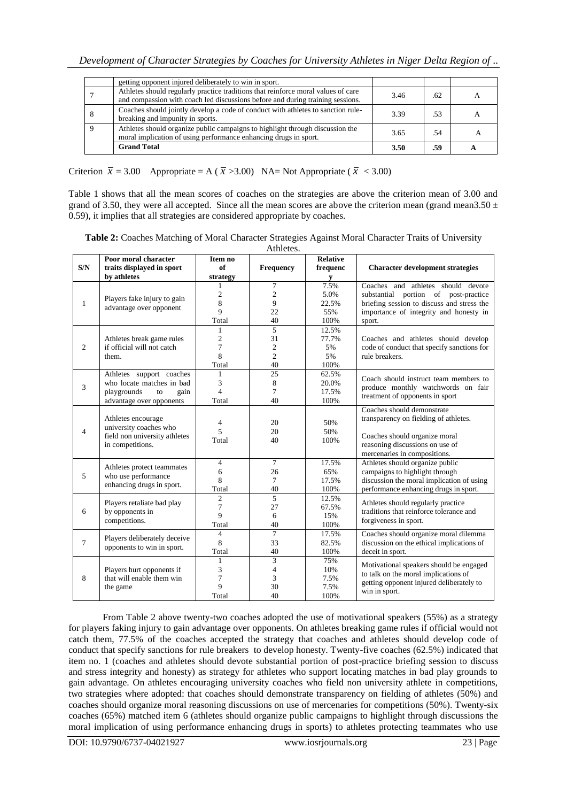| moral implication of using performance enhancing drugs in sport.<br><b>Grand Total</b>                                                                              | 3.65 | .54 |  |
|---------------------------------------------------------------------------------------------------------------------------------------------------------------------|------|-----|--|
| breaking and impunity in sports.<br>Athletes should organize public campaigns to highlight through discussion the                                                   |      |     |  |
| Coaches should jointly develop a code of conduct with athletes to sanction rule-                                                                                    | 3.39 | .53 |  |
| Athletes should regularly practice traditions that reinforce moral values of care<br>and compassion with coach led discussions before and during training sessions. | 3.46 | .62 |  |
| getting opponent injured deliberately to win in sport.                                                                                                              |      |     |  |

Criterion  $\bar{x} = 3.00$  Appropriate = A ( $\bar{x} > 3.00$ ) NA= Not Appropriate ( $\bar{x} < 3.00$ )

Table 1 shows that all the mean scores of coaches on the strategies are above the criterion mean of 3.00 and grand of 3.50, they were all accepted. Since all the mean scores are above the criterion mean (grand mean3.50  $\pm$ 0.59), it implies that all strategies are considered appropriate by coaches.

**Table 2:** Coaches Matching of Moral Character Strategies Against Moral Character Traits of University

| Athletes.      |                                                                                |                         |                |                 |                                                                               |  |
|----------------|--------------------------------------------------------------------------------|-------------------------|----------------|-----------------|-------------------------------------------------------------------------------|--|
|                | Poor moral character                                                           | Item no                 |                | <b>Relative</b> |                                                                               |  |
| S/N            | traits displayed in sport                                                      | of                      | Frequency      | frequenc        | <b>Character development strategies</b>                                       |  |
|                | by athletes                                                                    | strategy                |                | y               |                                                                               |  |
|                |                                                                                | 1                       | $\overline{7}$ | 7.5%            | Coaches and athletes should devote                                            |  |
|                | Players fake injury to gain                                                    | 2                       | $\overline{c}$ | 5.0%            | portion of post-practice<br>substantial                                       |  |
| 1              | advantage over opponent                                                        | 8                       | 9              | 22.5%           | briefing session to discuss and stress the                                    |  |
|                |                                                                                | 9                       | 22<br>55%      |                 | importance of integrity and honesty in                                        |  |
|                |                                                                                | Total                   | 40             | 100%            | sport.                                                                        |  |
|                |                                                                                | 1                       | 5              | 12.5%           |                                                                               |  |
|                | Athletes break game rules                                                      | $\overline{c}$          | 31             | 77.7%           | Coaches and athletes should develop                                           |  |
| $\overline{c}$ | if official will not catch                                                     | 7                       | $\overline{c}$ | 5%              | code of conduct that specify sanctions for                                    |  |
|                | them.                                                                          | 8                       | $\overline{c}$ | 5%              | rule breakers.                                                                |  |
|                |                                                                                | Total                   | 40             | 100%            |                                                                               |  |
|                | Athletes support coaches                                                       | 1                       | 25             | 62.5%           | Coach should instruct team members to                                         |  |
| 3              | who locate matches in bad                                                      | 3                       | 8              | 20.0%           |                                                                               |  |
|                | playgrounds<br>to<br>gain                                                      | $\overline{\mathbf{4}}$ | $\overline{7}$ | 17.5%           | produce monthly watchwords on fair                                            |  |
|                | advantage over opponents                                                       | Total                   | 40             | 100%            | treatment of opponents in sport                                               |  |
|                |                                                                                |                         |                |                 | Coaches should demonstrate                                                    |  |
|                | Athletes encourage                                                             |                         | 20             | 50%             | transparency on fielding of athletes.                                         |  |
| $\overline{4}$ | university coaches who<br>field non university athletes<br>in competitions.    | 4<br>5                  | 20             | 50%             |                                                                               |  |
|                |                                                                                | Total                   | 40             | 100%            | Coaches should organize moral                                                 |  |
|                |                                                                                |                         |                |                 | reasoning discussions on use of                                               |  |
|                |                                                                                |                         |                |                 | mercenaries in compositions.                                                  |  |
|                |                                                                                | 4                       | $\tau$         | 17.5%           | Athletes should organize public                                               |  |
| 5              | Athletes protect teammates<br>who use performance<br>enhancing drugs in sport. | 6                       | 26             | 65%             | campaigns to highlight through                                                |  |
|                |                                                                                | 8                       | $\tau$         | 17.5%           | discussion the moral implication of using                                     |  |
|                |                                                                                | Total                   | 40             | 100%            | performance enhancing drugs in sport.                                         |  |
|                |                                                                                | $\overline{2}$          | 5              | 12.5%           |                                                                               |  |
|                | Players retaliate bad play<br>by opponents in<br>competitions.                 | 7                       | 27             | 67.5%           | Athletes should regularly practice<br>traditions that reinforce tolerance and |  |
| 6              |                                                                                | 9                       | 6              | 15%             |                                                                               |  |
|                |                                                                                | Total                   | 40             | 100%            | forgiveness in sport.                                                         |  |
|                | Players deliberately deceive<br>opponents to win in sport.                     | 4                       | $\tau$         | 17.5%           | Coaches should organize moral dilemma                                         |  |
| $\tau$         |                                                                                | 8                       | 33             | 82.5%           | discussion on the ethical implications of                                     |  |
|                |                                                                                | Total                   | 40             | 100%            | deceit in sport.                                                              |  |
|                |                                                                                | 1                       | 3              | 75%             |                                                                               |  |
|                | Players hurt opponents if                                                      | 3                       | $\overline{4}$ | 10%             | Motivational speakers should be engaged                                       |  |
| 8              | that will enable them win                                                      | $\overline{7}$          | 3              | 7.5%            | to talk on the moral implications of                                          |  |
|                | the game                                                                       | 9                       | 30             | 7.5%            | getting opponent injured deliberately to                                      |  |
|                |                                                                                | Total                   | 40             | 100%            | win in sport.                                                                 |  |

From Table 2 above twenty-two coaches adopted the use of motivational speakers (55%) as a strategy for players faking injury to gain advantage over opponents. On athletes breaking game rules if official would not catch them, 77.5% of the coaches accepted the strategy that coaches and athletes should develop code of conduct that specify sanctions for rule breakers to develop honesty. Twenty-five coaches (62.5%) indicated that item no. 1 (coaches and athletes should devote substantial portion of post-practice briefing session to discuss and stress integrity and honesty) as strategy for athletes who support locating matches in bad play grounds to gain advantage. On athletes encouraging university coaches who field non university athlete in competitions, two strategies where adopted: that coaches should demonstrate transparency on fielding of athletes (50%) and coaches should organize moral reasoning discussions on use of mercenaries for competitions (50%). Twenty-six coaches (65%) matched item 6 (athletes should organize public campaigns to highlight through discussions the moral implication of using performance enhancing drugs in sports) to athletes protecting teammates who use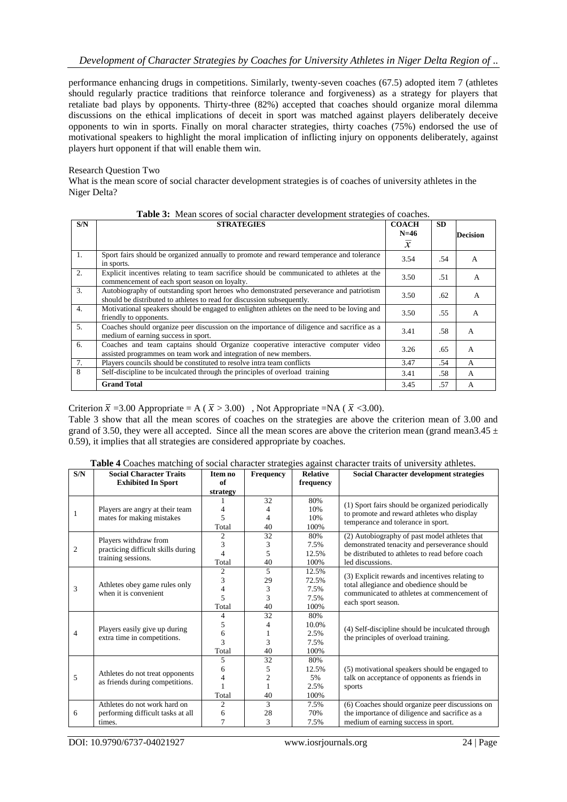performance enhancing drugs in competitions. Similarly, twenty-seven coaches (67.5) adopted item 7 (athletes should regularly practice traditions that reinforce tolerance and forgiveness) as a strategy for players that retaliate bad plays by opponents. Thirty-three (82%) accepted that coaches should organize moral dilemma discussions on the ethical implications of deceit in sport was matched against players deliberately deceive opponents to win in sports. Finally on moral character strategies, thirty coaches (75%) endorsed the use of motivational speakers to highlight the moral implication of inflicting injury on opponents deliberately, against players hurt opponent if that will enable them win.

### Research Question Two

What is the mean score of social character development strategies is of coaches of university athletes in the Niger Delta?

| S/N              | <b>STRATEGIES</b>                                                                                                                                                | <b>COACH</b><br>$N=46$ | SD. |                 |
|------------------|------------------------------------------------------------------------------------------------------------------------------------------------------------------|------------------------|-----|-----------------|
|                  |                                                                                                                                                                  | $\mathbf{x}$           |     | <b>Decision</b> |
| $\mathbf{1}$ .   | Sport fairs should be organized annually to promote and reward temperance and tolerance<br>in sports.                                                            | 3.54                   | .54 | A               |
| 2.               | Explicit incentives relating to team sacrifice should be communicated to athletes at the<br>commencement of each sport season on loyalty.                        | 3.50                   | .51 | $\mathsf{A}$    |
| 3.               | Autobiography of outstanding sport heroes who demonstrated perseverance and patriotism<br>should be distributed to athletes to read for discussion subsequently. | 3.50                   | .62 | $\mathsf{A}$    |
| $\overline{4}$ . | Motivational speakers should be engaged to enlighten at heletes on the need to be loving and<br>friendly to opponents.                                           | 3.50                   | .55 | $\mathsf{A}$    |
| 5.               | Coaches should organize peer discussion on the importance of diligence and sacrifice as a<br>medium of earning success in sport.                                 | 3.41                   | .58 | A               |
| 6.               | Coaches and team captains should Organize cooperative interactive computer video<br>assisted programmes on team work and integration of new members.             | 3.26                   | .65 | $\mathsf{A}$    |
| 7.               | Players councils should be constituted to resolve intra team conflicts                                                                                           | 3.47                   | .54 | $\mathsf{A}$    |
| 8                | Self-discipline to be inculcated through the principles of overload training                                                                                     | 3.41                   | .58 | A               |
|                  | <b>Grand Total</b>                                                                                                                                               | 3.45                   | .57 | A               |

# Criterion  $\bar{x}$  =3.00 Appropriate = A ( $\bar{x}$  > 3.00) , Not Appropriate = NA ( $\bar{x}$  < 3.00).

Table 3 show that all the mean scores of coaches on the strategies are above the criterion mean of 3.00 and grand of 3.50, they were all accepted. Since all the mean scores are above the criterion mean (grand mean3.45  $\pm$ 0.59), it implies that all strategies are considered appropriate by coaches.

| S/N            | <b>Social Character Traits</b>                                     | Item no        | Frequency | <b>Relative</b> | Social Character development strategies          |
|----------------|--------------------------------------------------------------------|----------------|-----------|-----------------|--------------------------------------------------|
|                | <b>Exhibited In Sport</b>                                          | of             |           | frequency       |                                                  |
|                |                                                                    | strategy       |           |                 |                                                  |
|                | Players are angry at their team<br>mates for making mistakes       |                | 32        | 80%             | (1) Sport fairs should be organized periodically |
| 1              |                                                                    |                | 4         | 10%             | to promote and reward athletes who display       |
|                |                                                                    | 5              | 4         | 10%             | temperance and tolerance in sport.               |
|                |                                                                    | Total          | 40        | 100%            |                                                  |
|                | Players withdraw from                                              | 2              | 32        | 80%             | (2) Autobiography of past model athletes that    |
| $\overline{2}$ | practicing difficult skills during                                 | 3              | 3         | 7.5%            | demonstrated tenacity and perseverance should    |
|                | training sessions.                                                 | 4              | 5         | 12.5%           | be distributed to athletes to read before coach  |
|                |                                                                    | Total          | 40        | 100%            | led discussions.                                 |
|                | Athletes obey game rules only<br>when it is convenient.            | 2              | 5         | 12.5%           | (3) Explicit rewards and incentives relating to  |
|                |                                                                    | 3              | 29        | 72.5%           | total allegiance and obedience should be         |
| 3              |                                                                    |                | 3         | 7.5%            | communicated to athletes at commencement of      |
|                |                                                                    | 5              | 3         | 7.5%            |                                                  |
|                |                                                                    | Total          | 40        | 100%            | each sport season.                               |
|                |                                                                    | 4              | 32        | 80%             |                                                  |
|                | Players easily give up during<br>extra time in competitions.       | 5              | 4         | 10.0%           | (4) Self-discipline should be inculcated through |
| $\overline{4}$ |                                                                    | 6              |           | 2.5%            | the principles of overload training.             |
|                |                                                                    | 3              | 3         | 7.5%            |                                                  |
|                |                                                                    | Total          | 40        | 100%            |                                                  |
|                |                                                                    | 5              | 32        | 80%             |                                                  |
|                | Athletes do not treat opponents<br>as friends during competitions. | 6              | 5         | 12.5%           | (5) motivational speakers should be engaged to   |
| 5              |                                                                    |                | 2         | 5%              | talk on acceptance of opponents as friends in    |
|                |                                                                    |                |           | 2.5%            | sports                                           |
|                |                                                                    | Total          | 40        | 100%            |                                                  |
|                | Athletes do not work hard on                                       | $\mathfrak{2}$ | 3         | 7.5%            | (6) Coaches should organize peer discussions on  |
| 6              | performing difficult tasks at all                                  | 6              | 28        | 70%             | the importance of diligence and sacrifice as a   |
|                | times.                                                             |                | 3         | 7.5%            | medium of earning success in sport.              |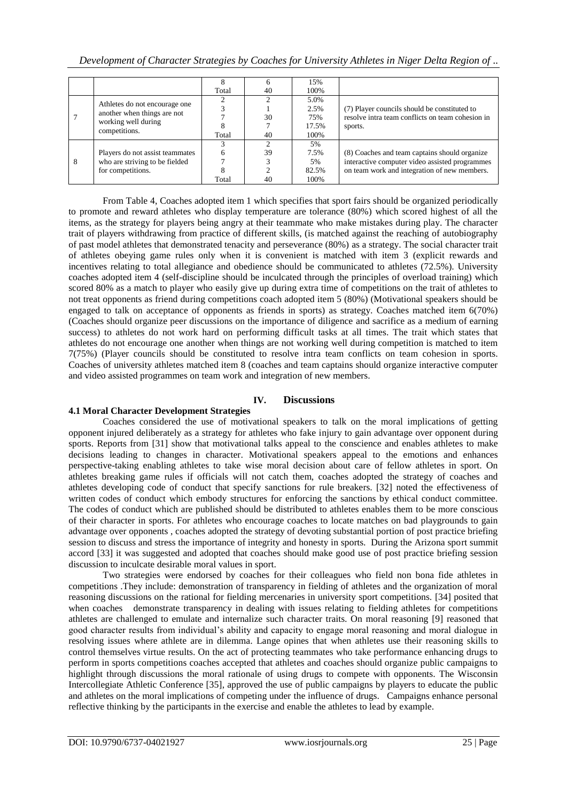*Development of Character Strategies by Coaches for University Athletes in Niger Delta Region of ..*

|   |                                                                                                      |       |    | 15%   |                                                  |
|---|------------------------------------------------------------------------------------------------------|-------|----|-------|--------------------------------------------------|
|   |                                                                                                      | Total | 40 | 100%  |                                                  |
|   | Athletes do not encourage one<br>another when things are not<br>working well during<br>competitions. |       |    | 5.0%  |                                                  |
|   |                                                                                                      |       |    | 2.5%  | (7) Player councils should be constituted to     |
|   |                                                                                                      |       | 30 | 75%   | resolve intra team conflicts on team cohesion in |
|   |                                                                                                      |       |    | 17.5% | sports.                                          |
|   |                                                                                                      | Total | 40 | 100%  |                                                  |
|   |                                                                                                      |       |    | 5%    |                                                  |
| 8 | Players do not assist teammates                                                                      |       | 39 | 7.5%  | (8) Coaches and team captains should organize    |
|   | who are striving to be fielded                                                                       |       |    | 5%    | interactive computer video assisted programmes   |
|   | for competitions.                                                                                    |       |    | 82.5% | on team work and integration of new members.     |
|   |                                                                                                      | Total | 40 | 100%  |                                                  |

From Table 4, Coaches adopted item 1 which specifies that sport fairs should be organized periodically to promote and reward athletes who display temperature are tolerance (80%) which scored highest of all the items, as the strategy for players being angry at their teammate who make mistakes during play. The character trait of players withdrawing from practice of different skills, (is matched against the reaching of autobiography of past model athletes that demonstrated tenacity and perseverance (80%) as a strategy. The social character trait of athletes obeying game rules only when it is convenient is matched with item 3 (explicit rewards and incentives relating to total allegiance and obedience should be communicated to athletes (72.5%). University coaches adopted item 4 (self-discipline should be inculcated through the principles of overload training) which scored 80% as a match to player who easily give up during extra time of competitions on the trait of athletes to not treat opponents as friend during competitions coach adopted item 5 (80%) (Motivational speakers should be engaged to talk on acceptance of opponents as friends in sports) as strategy. Coaches matched item 6(70%) (Coaches should organize peer discussions on the importance of diligence and sacrifice as a medium of earning success) to athletes do not work hard on performing difficult tasks at all times. The trait which states that athletes do not encourage one another when things are not working well during competition is matched to item 7(75%) (Player councils should be constituted to resolve intra team conflicts on team cohesion in sports. Coaches of university athletes matched item 8 (coaches and team captains should organize interactive computer and video assisted programmes on team work and integration of new members.

# **IV. Discussions**

# **4.1 Moral Character Development Strategies**

Coaches considered the use of motivational speakers to talk on the moral implications of getting opponent injured deliberately as a strategy for athletes who fake injury to gain advantage over opponent during sports. Reports from [31] show that motivational talks appeal to the conscience and enables athletes to make decisions leading to changes in character. Motivational speakers appeal to the emotions and enhances perspective-taking enabling athletes to take wise moral decision about care of fellow athletes in sport. On athletes breaking game rules if officials will not catch them, coaches adopted the strategy of coaches and athletes developing code of conduct that specify sanctions for rule breakers. [32] noted the effectiveness of written codes of conduct which embody structures for enforcing the sanctions by ethical conduct committee. The codes of conduct which are published should be distributed to athletes enables them to be more conscious of their character in sports. For athletes who encourage coaches to locate matches on bad playgrounds to gain advantage over opponents , coaches adopted the strategy of devoting substantial portion of post practice briefing session to discuss and stress the importance of integrity and honesty in sports. During the Arizona sport summit accord [33] it was suggested and adopted that coaches should make good use of post practice briefing session discussion to inculcate desirable moral values in sport.

Two strategies were endorsed by coaches for their colleagues who field non bona fide athletes in competitions .They include: demonstration of transparency in fielding of athletes and the organization of moral reasoning discussions on the rational for fielding mercenaries in university sport competitions. [34] posited that when coaches demonstrate transparency in dealing with issues relating to fielding athletes for competitions athletes are challenged to emulate and internalize such character traits. On moral reasoning [9] reasoned that good character results from individual's ability and capacity to engage moral reasoning and moral dialogue in resolving issues where athlete are in dilemma. Lange opines that when athletes use their reasoning skills to control themselves virtue results. On the act of protecting teammates who take performance enhancing drugs to perform in sports competitions coaches accepted that athletes and coaches should organize public campaigns to highlight through discussions the moral rationale of using drugs to compete with opponents. The Wisconsin Intercollegiate Athletic Conference [35], approved the use of public campaigns by players to educate the public and athletes on the moral implications of competing under the influence of drugs. Campaigns enhance personal reflective thinking by the participants in the exercise and enable the athletes to lead by example.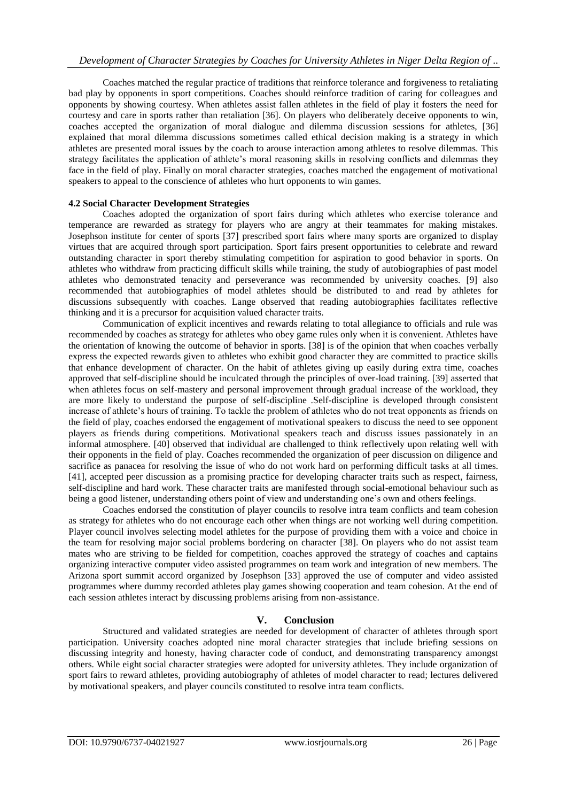Coaches matched the regular practice of traditions that reinforce tolerance and forgiveness to retaliating bad play by opponents in sport competitions. Coaches should reinforce tradition of caring for colleagues and opponents by showing courtesy. When athletes assist fallen athletes in the field of play it fosters the need for courtesy and care in sports rather than retaliation [36]. On players who deliberately deceive opponents to win, coaches accepted the organization of moral dialogue and dilemma discussion sessions for athletes, [36] explained that moral dilemma discussions sometimes called ethical decision making is a strategy in which athletes are presented moral issues by the coach to arouse interaction among athletes to resolve dilemmas. This strategy facilitates the application of athlete's moral reasoning skills in resolving conflicts and dilemmas they face in the field of play. Finally on moral character strategies, coaches matched the engagement of motivational speakers to appeal to the conscience of athletes who hurt opponents to win games.

# **4.2 Social Character Development Strategies**

Coaches adopted the organization of sport fairs during which athletes who exercise tolerance and temperance are rewarded as strategy for players who are angry at their teammates for making mistakes. Josephson institute for center of sports [37] prescribed sport fairs where many sports are organized to display virtues that are acquired through sport participation. Sport fairs present opportunities to celebrate and reward outstanding character in sport thereby stimulating competition for aspiration to good behavior in sports. On athletes who withdraw from practicing difficult skills while training, the study of autobiographies of past model athletes who demonstrated tenacity and perseverance was recommended by university coaches. [9] also recommended that autobiographies of model athletes should be distributed to and read by athletes for discussions subsequently with coaches. Lange observed that reading autobiographies facilitates reflective thinking and it is a precursor for acquisition valued character traits.

Communication of explicit incentives and rewards relating to total allegiance to officials and rule was recommended by coaches as strategy for athletes who obey game rules only when it is convenient. Athletes have the orientation of knowing the outcome of behavior in sports. [38] is of the opinion that when coaches verbally express the expected rewards given to athletes who exhibit good character they are committed to practice skills that enhance development of character. On the habit of athletes giving up easily during extra time, coaches approved that self-discipline should be inculcated through the principles of over-load training. [39] asserted that when athletes focus on self-mastery and personal improvement through gradual increase of the workload, they are more likely to understand the purpose of self-discipline .Self-discipline is developed through consistent increase of athlete's hours of training. To tackle the problem of athletes who do not treat opponents as friends on the field of play, coaches endorsed the engagement of motivational speakers to discuss the need to see opponent players as friends during competitions. Motivational speakers teach and discuss issues passionately in an informal atmosphere. [40] observed that individual are challenged to think reflectively upon relating well with their opponents in the field of play. Coaches recommended the organization of peer discussion on diligence and sacrifice as panacea for resolving the issue of who do not work hard on performing difficult tasks at all times. [41], accepted peer discussion as a promising practice for developing character traits such as respect, fairness, self-discipline and hard work. These character traits are manifested through social-emotional behaviour such as being a good listener, understanding others point of view and understanding one's own and others feelings.

Coaches endorsed the constitution of player councils to resolve intra team conflicts and team cohesion as strategy for athletes who do not encourage each other when things are not working well during competition. Player council involves selecting model athletes for the purpose of providing them with a voice and choice in the team for resolving major social problems bordering on character [38]. On players who do not assist team mates who are striving to be fielded for competition, coaches approved the strategy of coaches and captains organizing interactive computer video assisted programmes on team work and integration of new members. The Arizona sport summit accord organized by Josephson [33] approved the use of computer and video assisted programmes where dummy recorded athletes play games showing cooperation and team cohesion. At the end of each session athletes interact by discussing problems arising from non-assistance.

# **V. Conclusion**

Structured and validated strategies are needed for development of character of athletes through sport participation. University coaches adopted nine moral character strategies that include briefing sessions on discussing integrity and honesty, having character code of conduct, and demonstrating transparency amongst others. While eight social character strategies were adopted for university athletes. They include organization of sport fairs to reward athletes, providing autobiography of athletes of model character to read; lectures delivered by motivational speakers, and player councils constituted to resolve intra team conflicts.